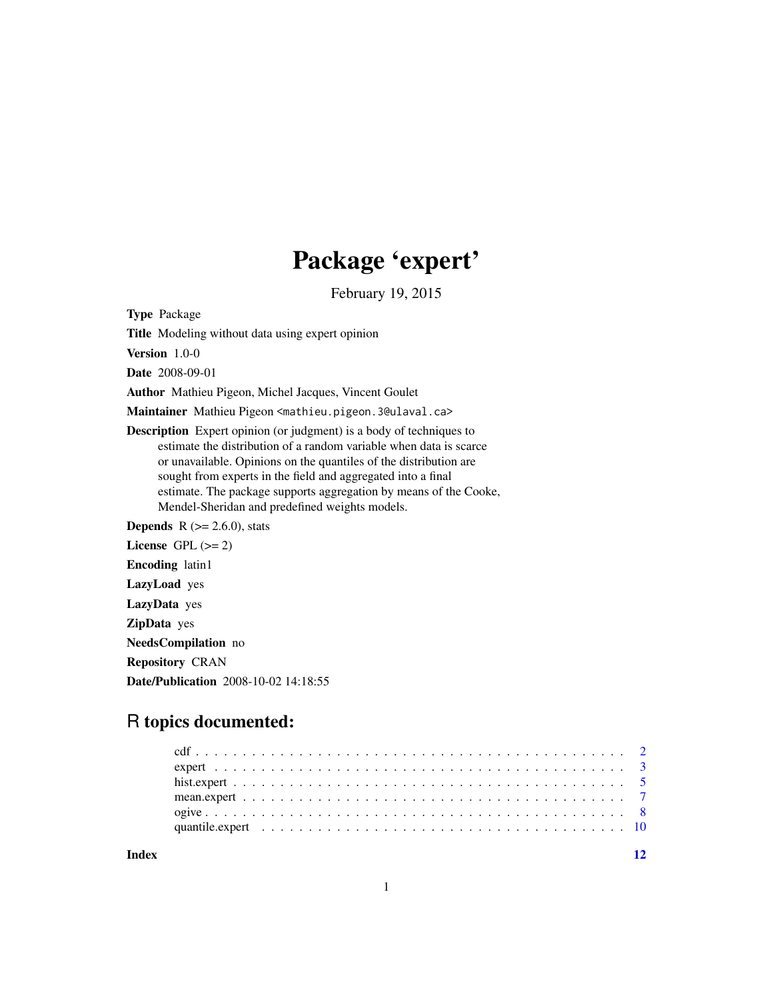# Package 'expert'

February 19, 2015

<span id="page-0-0"></span>Type Package

Title Modeling without data using expert opinion

Version 1.0-0

Date 2008-09-01

Author Mathieu Pigeon, Michel Jacques, Vincent Goulet

Maintainer Mathieu Pigeon <mathieu.pigeon.3@ulaval.ca>

Description Expert opinion (or judgment) is a body of techniques to estimate the distribution of a random variable when data is scarce or unavailable. Opinions on the quantiles of the distribution are sought from experts in the field and aggregated into a final estimate. The package supports aggregation by means of the Cooke, Mendel-Sheridan and predefined weights models.

**Depends** R  $(>= 2.6.0)$ , stats License GPL  $(>= 2)$ Encoding latin1 LazyLoad yes LazyData yes ZipData yes NeedsCompilation no Repository CRAN Date/Publication 2008-10-02 14:18:55

# R topics documented:

**Index** [12](#page-11-0)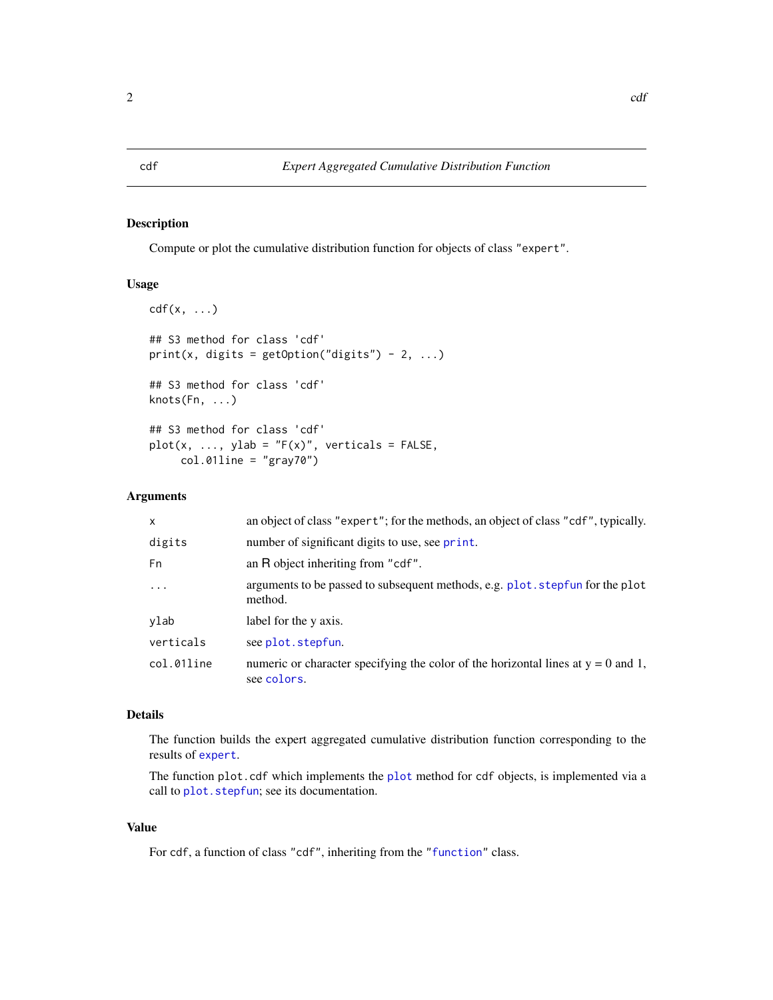# <span id="page-1-1"></span><span id="page-1-0"></span>Description

Compute or plot the cumulative distribution function for objects of class "expert".

# Usage

```
cdf(x, \ldots)## S3 method for class 'cdf'
print(x, digits = getOption("digits") - 2, ...)## S3 method for class 'cdf'
knots(Fn, ...)
## S3 method for class 'cdf'
plot(x, ..., ylab = "F(x)", verticals = FALSE,col.01line = "gray70")
```
# Arguments

| $\mathsf{x}$ | an object of class "expert"; for the methods, an object of class "cdf", typically.                 |
|--------------|----------------------------------------------------------------------------------------------------|
| digits       | number of significant digits to use, see print.                                                    |
| Fn           | an R object inheriting from "cdf".                                                                 |
| $\ddotsc$    | arguments to be passed to subsequent methods, e.g. plot. stepfun for the plot<br>method.           |
| ylab         | label for the y axis.                                                                              |
| verticals    | see plot.stepfun.                                                                                  |
| col.01line   | numeric or character specifying the color of the horizontal lines at $y = 0$ and 1,<br>see colors. |

# Details

The function builds the expert aggregated cumulative distribution function corresponding to the results of [expert](#page-2-1).

The function plot.cdf which implements the [plot](#page-0-0) method for cdf objects, is implemented via a call to [plot.stepfun](#page-0-0); see its documentation.

# Value

For cdf, a function of class "cdf", inheriting from the ["function"](#page-0-0) class.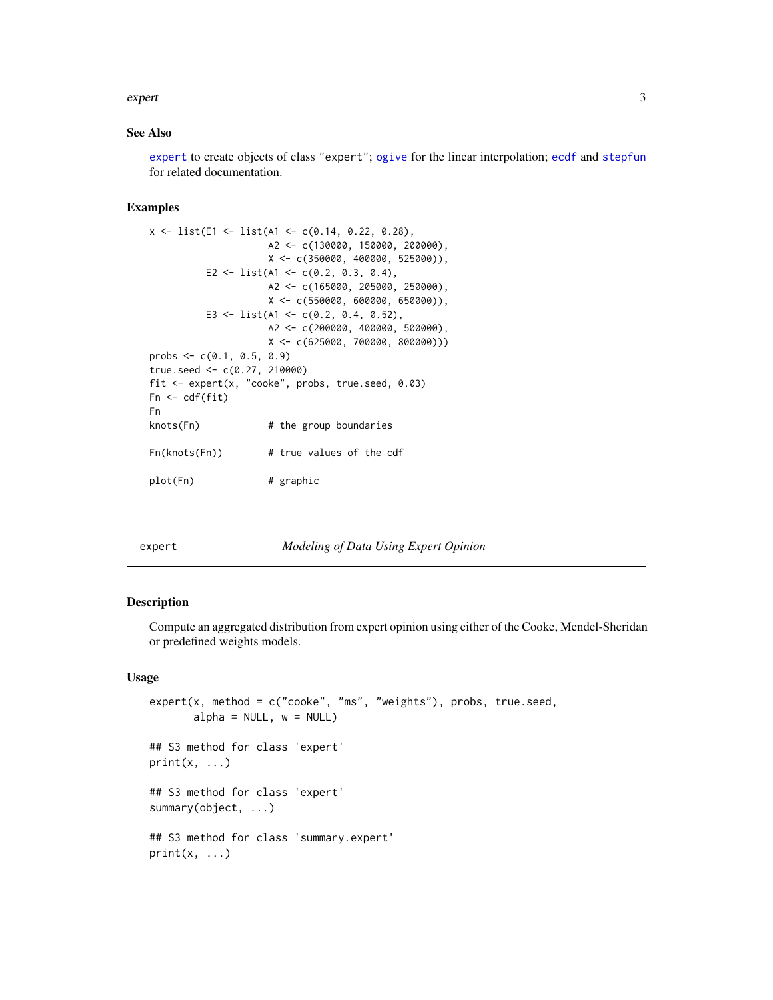#### <span id="page-2-0"></span>expert 3

#### See Also

[expert](#page-2-1) to create objects of class "expert"; [ogive](#page-7-1) for the linear interpolation; [ecdf](#page-0-0) and [stepfun](#page-0-0) for related documentation.

# Examples

```
x \leftarrow list(E1 <- list(A1 <- c(0.14, 0.22, 0.28),
                     A2 <- c(130000, 150000, 200000),
                     X \leftarrow c(350000, 400000, 525000)E2 <- list(A1 <- c(0.2, 0.3, 0.4),
                     A2 <- c(165000, 205000, 250000),
                     X \leftarrow c(550000, 600000, 650000)E3 <- list(A1 <- c(0.2, 0.4, 0.52),
                     A2 <- c(200000, 400000, 500000),
                     X \leftarrow c(625000, 700000, 800000))probs \leq c(0.1, 0.5, 0.9)true.seed <- c(0.27, 210000)
fit <- expert(x, "cooke", probs, true.seed, 0.03)
Fn \leftarrow cdf(fit)Fn
knots(Fn) # the group boundaries
Fn(knots(Fn)) # true values of the cdf
plot(Fn) # graphic
```
<span id="page-2-1"></span>

# expert *Modeling of Data Using Expert Opinion*

#### Description

 $print(x, \ldots)$ 

Compute an aggregated distribution from expert opinion using either of the Cooke, Mendel-Sheridan or predefined weights models.

#### Usage

```
expert(x, method = c("cooke", "ms", "weights"), probes, true.seed,alpha = NULL, w = NULL
```

```
## S3 method for class 'expert'
print(x, \ldots)## S3 method for class 'expert'
summary(object, ...)
## S3 method for class 'summary.expert'
```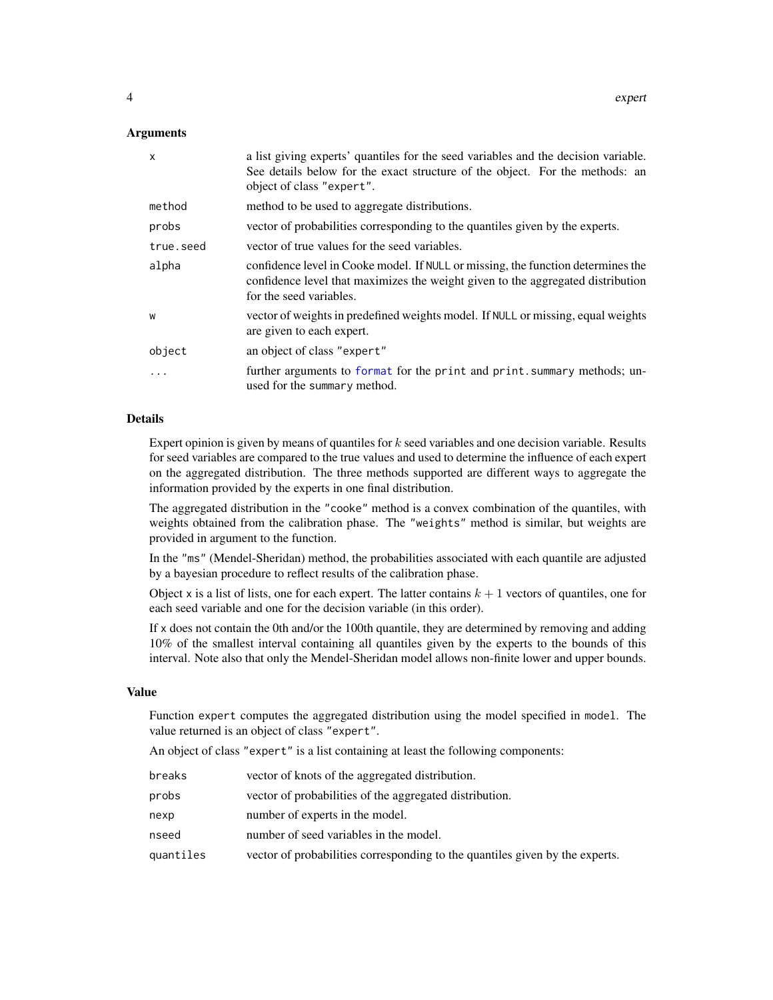# <span id="page-3-0"></span>Arguments

| $\mathsf{x}$ | a list giving experts' quantiles for the seed variables and the decision variable.<br>See details below for the exact structure of the object. For the methods: an<br>object of class "expert". |
|--------------|-------------------------------------------------------------------------------------------------------------------------------------------------------------------------------------------------|
| method       | method to be used to aggregate distributions.                                                                                                                                                   |
| probs        | vector of probabilities corresponding to the quantiles given by the experts.                                                                                                                    |
| true.seed    | vector of true values for the seed variables.                                                                                                                                                   |
| alpha        | confidence level in Cooke model. If NULL or missing, the function determines the<br>confidence level that maximizes the weight given to the aggregated distribution<br>for the seed variables.  |
| W            | vector of weights in predefined weights model. If NULL or missing, equal weights<br>are given to each expert.                                                                                   |
| object       | an object of class "expert"                                                                                                                                                                     |
| $\ddots$ .   | further arguments to format for the print and print. summary methods; un-<br>used for the summary method.                                                                                       |

#### Details

Expert opinion is given by means of quantiles for  $k$  seed variables and one decision variable. Results for seed variables are compared to the true values and used to determine the influence of each expert on the aggregated distribution. The three methods supported are different ways to aggregate the information provided by the experts in one final distribution.

The aggregated distribution in the "cooke" method is a convex combination of the quantiles, with weights obtained from the calibration phase. The "weights" method is similar, but weights are provided in argument to the function.

In the "ms" (Mendel-Sheridan) method, the probabilities associated with each quantile are adjusted by a bayesian procedure to reflect results of the calibration phase.

Object x is a list of lists, one for each expert. The latter contains  $k + 1$  vectors of quantiles, one for each seed variable and one for the decision variable (in this order).

If x does not contain the 0th and/or the 100th quantile, they are determined by removing and adding 10% of the smallest interval containing all quantiles given by the experts to the bounds of this interval. Note also that only the Mendel-Sheridan model allows non-finite lower and upper bounds.

# Value

Function expert computes the aggregated distribution using the model specified in model. The value returned is an object of class "expert".

An object of class "expert" is a list containing at least the following components:

| breaks    | vector of knots of the aggregated distribution.                              |
|-----------|------------------------------------------------------------------------------|
| probs     | vector of probabilities of the aggregated distribution.                      |
| nexp      | number of experts in the model.                                              |
| nseed     | number of seed variables in the model.                                       |
| quantiles | vector of probabilities corresponding to the quantiles given by the experts. |
|           |                                                                              |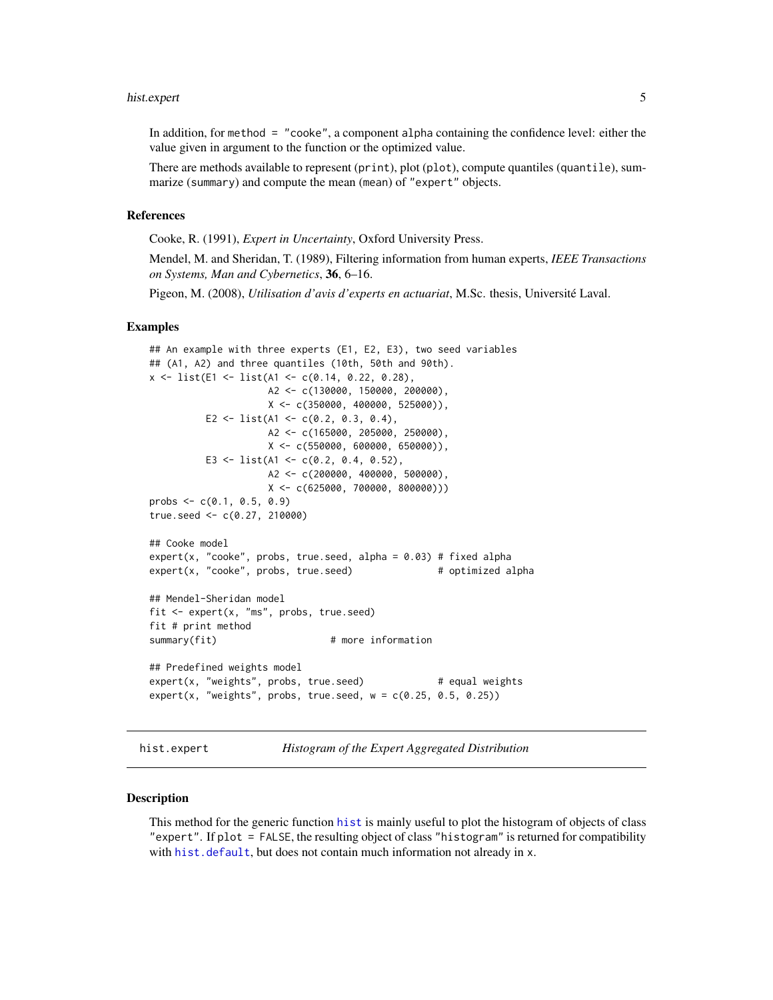#### <span id="page-4-0"></span>hist.expert 5

In addition, for method = "cooke", a component alpha containing the confidence level: either the value given in argument to the function or the optimized value.

There are methods available to represent (print), plot (plot), compute quantiles (quantile), summarize (summary) and compute the mean (mean) of "expert" objects.

#### References

Cooke, R. (1991), *Expert in Uncertainty*, Oxford University Press.

Mendel, M. and Sheridan, T. (1989), Filtering information from human experts, *IEEE Transactions on Systems, Man and Cybernetics*, 36, 6–16.

Pigeon, M. (2008), *Utilisation d'avis d'experts en actuariat*, M.Sc. thesis, Université Laval.

#### Examples

```
## An example with three experts (E1, E2, E3), two seed variables
## (A1, A2) and three quantiles (10th, 50th and 90th).
x \le - list(E1 \le - list(A1 \le - c(0.14, 0.22, 0.28),
                    A2 <- c(130000, 150000, 200000),
                    X \leftarrow c(350000, 400000, 525000)E2 <- list(A1 <- c(0.2, 0.3, 0.4),
                    A2 <- c(165000, 205000, 250000),
                    X \leftarrow c(550000, 600000, 650000)E3 <- list(A1 <- c(0.2, 0.4, 0.52),
                    A2 <- c(200000, 400000, 500000),
                    X <- c(625000, 700000, 800000)))
probs \leq c(0.1, 0.5, 0.9)true.seed <- c(0.27, 210000)
## Cooke model
expert(x, "cooke", probs, true. seed, alpha = 0.03) # fixed alphaexpert(x, "cooke", probs, true.seed) # optimized alpha
## Mendel-Sheridan model
fit <- expert(x, "ms", probs, true.seed)
fit # print method
summary(fit) \qquad # more information
## Predefined weights model
expert(x, "weights", probs, true. seed) # equal weights
expert(x, "weights", probs, true. seed, w = c(0.25, 0.5, 0.25))
```
hist.expert *Histogram of the Expert Aggregated Distribution*

#### Description

This method for the generic function [hist](#page-0-0) is mainly useful to plot the histogram of objects of class "expert". If plot = FALSE, the resulting object of class "histogram" is returned for compatibility with [hist.default](#page-0-0), but does not contain much information not already in x.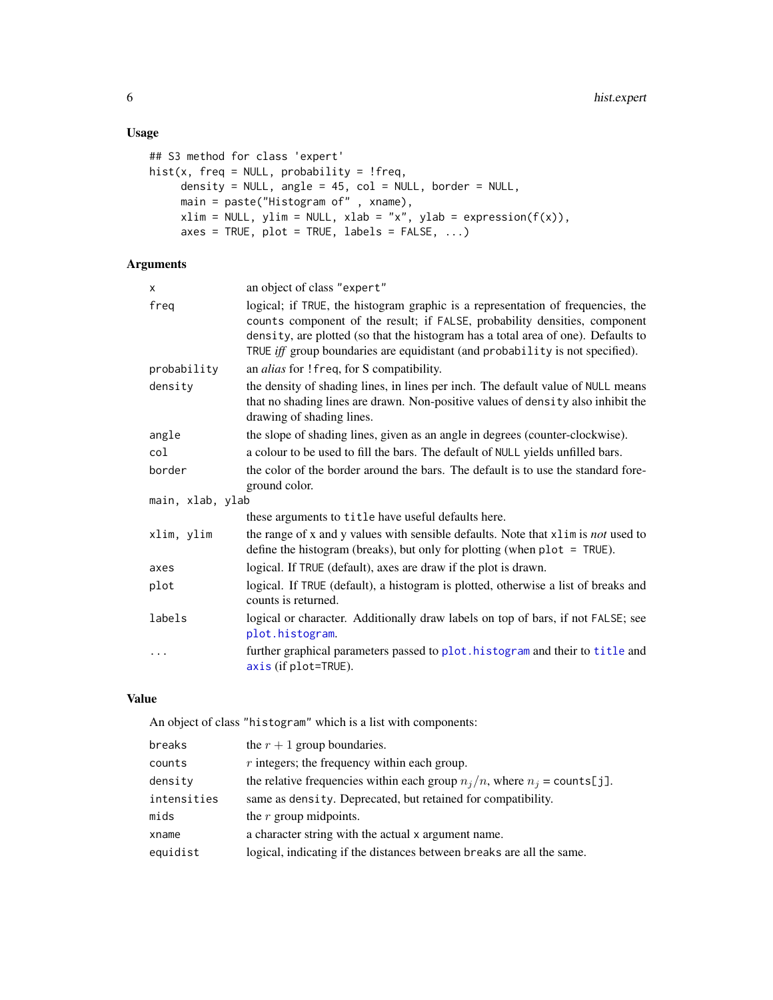# Usage

```
## S3 method for class 'expert'
hist(x, freq = NULL, probability = !freq,
     density = NULL, angle = 45, col = NULL, border = NULL,
     main = paste("Histogram of" , xname),
     xlim = NULL, ylim = NULL, xlab = "x", ylab = expression(f(x)),axes = TRUE, plot = TRUE, labels = FALSE, ...)
```
# Arguments

| X                | an object of class "expert"                                                                                                                                                                                                                                                                                                         |
|------------------|-------------------------------------------------------------------------------------------------------------------------------------------------------------------------------------------------------------------------------------------------------------------------------------------------------------------------------------|
| freq             | logical; if TRUE, the histogram graphic is a representation of frequencies, the<br>counts component of the result; if FALSE, probability densities, component<br>density, are plotted (so that the histogram has a total area of one). Defaults to<br>TRUE iff group boundaries are equidistant (and probability is not specified). |
| probability      | an alias for ! freq, for S compatibility.                                                                                                                                                                                                                                                                                           |
| density          | the density of shading lines, in lines per inch. The default value of NULL means<br>that no shading lines are drawn. Non-positive values of density also inhibit the<br>drawing of shading lines.                                                                                                                                   |
| angle            | the slope of shading lines, given as an angle in degrees (counter-clockwise).                                                                                                                                                                                                                                                       |
| col              | a colour to be used to fill the bars. The default of NULL yields unfilled bars.                                                                                                                                                                                                                                                     |
| border           | the color of the border around the bars. The default is to use the standard fore-<br>ground color.                                                                                                                                                                                                                                  |
| main, xlab, ylab |                                                                                                                                                                                                                                                                                                                                     |
|                  | these arguments to title have useful defaults here.                                                                                                                                                                                                                                                                                 |
| xlim, ylim       | the range of x and y values with sensible defaults. Note that xlim is not used to<br>define the histogram (breaks), but only for plotting (when $plot = TRUE$ ).                                                                                                                                                                    |
| axes             | logical. If TRUE (default), axes are draw if the plot is drawn.                                                                                                                                                                                                                                                                     |
| plot             | logical. If TRUE (default), a histogram is plotted, otherwise a list of breaks and<br>counts is returned.                                                                                                                                                                                                                           |
| labels           | logical or character. Additionally draw labels on top of bars, if not FALSE; see<br>plot.histogram.                                                                                                                                                                                                                                 |
| $\ddots$         | further graphical parameters passed to plot. histogram and their to title and<br>axis (if plot=TRUE).                                                                                                                                                                                                                               |

# Value

An object of class "histogram" which is a list with components:

| breaks      | the $r + 1$ group boundaries.                                                         |
|-------------|---------------------------------------------------------------------------------------|
| counts      | $r$ integers; the frequency within each group.                                        |
| density     | the relative frequencies within each group $n_j/n$ , where $n_j = \text{counts}[j]$ . |
| intensities | same as density. Deprecated, but retained for compatibility.                          |
| mids        | the $r$ group midpoints.                                                              |
| xname       | a character string with the actual x argument name.                                   |
| equidist    | logical, indicating if the distances between breaks are all the same.                 |

<span id="page-5-0"></span>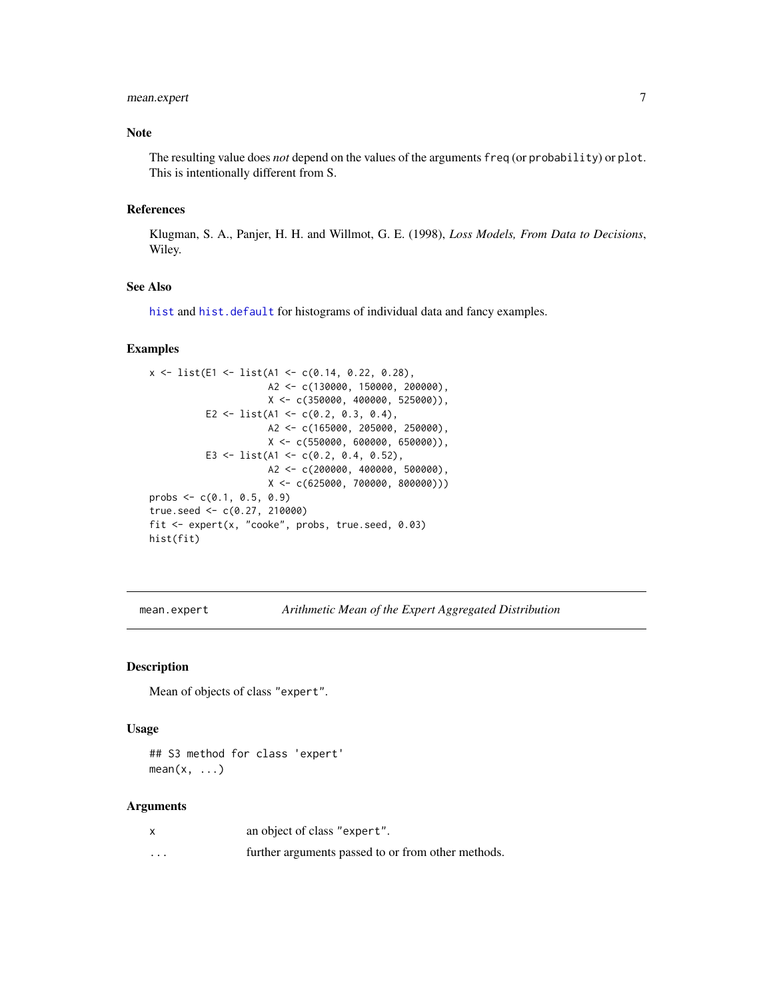# <span id="page-6-0"></span>mean.expert 7

# Note

The resulting value does *not* depend on the values of the arguments freq (or probability) or plot. This is intentionally different from S.

#### References

Klugman, S. A., Panjer, H. H. and Willmot, G. E. (1998), *Loss Models, From Data to Decisions*, Wiley.

#### See Also

[hist](#page-0-0) and [hist.default](#page-0-0) for histograms of individual data and fancy examples.

# Examples

```
x \leftarrow list(E1 <- list(A1 <- c(0.14, 0.22, 0.28),
                     A2 <- c(130000, 150000, 200000),
                     X <- c(350000, 400000, 525000)),
          E2 <- list(A1 <- c(0.2, 0.3, 0.4),
                     A2 <- c(165000, 205000, 250000),
                     X <- c(550000, 600000, 650000)),
          E3 <- list(A1 <- c(0.2, 0.4, 0.52),
                     A2 <- c(200000, 400000, 500000),
                     X <- c(625000, 700000, 800000)))
probs \leq c(0.1, 0.5, 0.9)true.seed <- c(0.27, 210000)
fit <- expert(x, "cooke", probs, true.seed, 0.03)
hist(fit)
```
mean.expert *Arithmetic Mean of the Expert Aggregated Distribution*

# Description

Mean of objects of class "expert".

# Usage

## S3 method for class 'expert'  $mean(x, \ldots)$ 

#### Arguments

|          | an object of class "expert".                       |
|----------|----------------------------------------------------|
| $\cdots$ | further arguments passed to or from other methods. |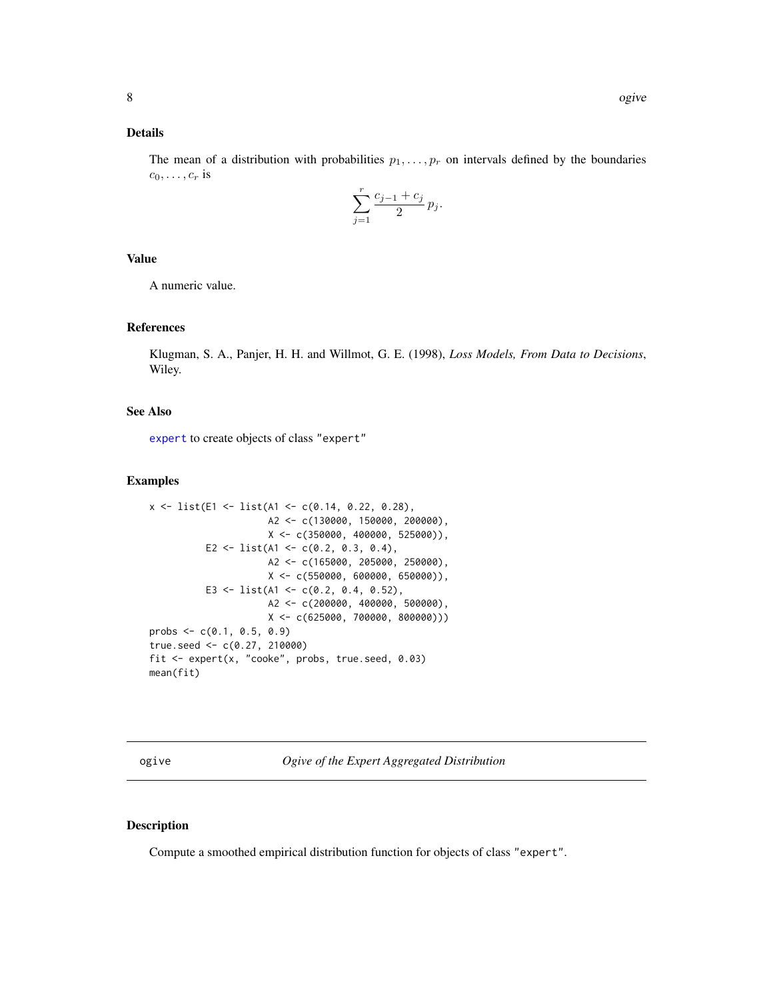# <span id="page-7-0"></span>Details

The mean of a distribution with probabilities  $p_1, \ldots, p_r$  on intervals defined by the boundaries  $c_0, \ldots, c_r$  is

$$
\sum_{j=1}^{r} \frac{c_{j-1} + c_j}{2} p_j.
$$

# Value

A numeric value.

# References

Klugman, S. A., Panjer, H. H. and Willmot, G. E. (1998), *Loss Models, From Data to Decisions*, Wiley.

# See Also

[expert](#page-2-1) to create objects of class "expert"

# Examples

```
x \leftarrow list(E1 <- list(A1 <- c(0.14, 0.22, 0.28),
                     A2 <- c(130000, 150000, 200000),
                     X <- c(350000, 400000, 525000)),
          E2 <- list(A1 <- c(0.2, 0.3, 0.4),
                     A2 <- c(165000, 205000, 250000),
                     X \leftarrow c(550000, 600000, 650000)E3 <- list(A1 <- c(0.2, 0.4, 0.52),
                     A2 <- c(200000, 400000, 500000),
                      X <- c(625000, 700000, 800000)))
probs <- c(0.1, 0.5, 0.9)
true.seed <- c(0.27, 210000)
fit <- expert(x, "cooke", probs, true.seed, 0.03)
mean(fit)
```
<span id="page-7-1"></span>ogive *Ogive of the Expert Aggregated Distribution*

# Description

Compute a smoothed empirical distribution function for objects of class "expert".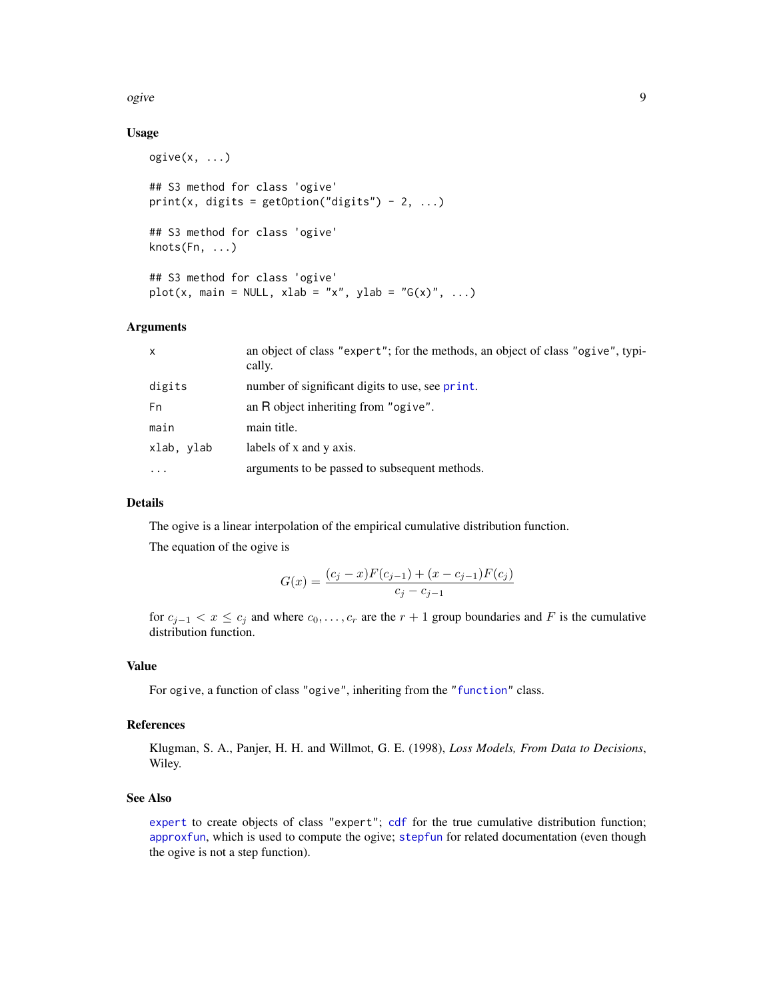#### <span id="page-8-0"></span>ogive the set of the set of the set of the set of the set of the set of the set of the set of the set of the s

# Usage

```
ogive(x, ...)
## S3 method for class 'ogive'
print(x, \text{ digits} = getOption("digits") - 2, ...)## S3 method for class 'ogive'
knots(Fn, ...)
## S3 method for class 'ogive'
plot(x, main = NULL, xlab = "x", ylab = "G(x)", ...)
```
### Arguments

| x          | an object of class "expert"; for the methods, an object of class "ogive", typi-<br>cally. |
|------------|-------------------------------------------------------------------------------------------|
| digits     | number of significant digits to use, see print.                                           |
| Fn         | an R object inheriting from "ogive".                                                      |
| main       | main title.                                                                               |
| xlab, vlab | labels of x and y axis.                                                                   |
| $\cdots$   | arguments to be passed to subsequent methods.                                             |

#### Details

The ogive is a linear interpolation of the empirical cumulative distribution function.

The equation of the ogive is

$$
G(x) = \frac{(c_j - x)F(c_{j-1}) + (x - c_{j-1})F(c_j)}{c_j - c_{j-1}}
$$

for  $c_{j-1} < x \leq c_j$  and where  $c_0, \ldots, c_r$  are the  $r + 1$  group boundaries and F is the cumulative distribution function.

# Value

For ogive, a function of class "ogive", inheriting from the ["function"](#page-0-0) class.

# References

Klugman, S. A., Panjer, H. H. and Willmot, G. E. (1998), *Loss Models, From Data to Decisions*, Wiley.

# See Also

[expert](#page-2-1) to create objects of class "expert"; [cdf](#page-1-1) for the true cumulative distribution function; [approxfun](#page-0-0), which is used to compute the ogive; [stepfun](#page-0-0) for related documentation (even though the ogive is not a step function).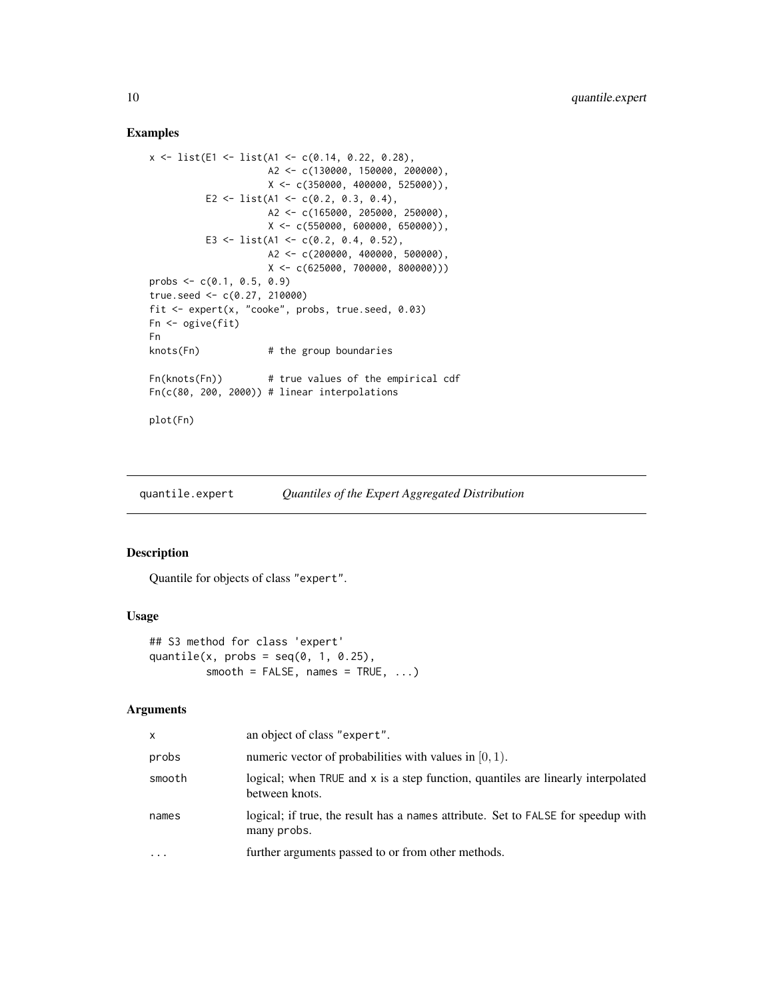# Examples

```
x <- list(E1 <- list(A1 <- c(0.14, 0.22, 0.28),
                    A2 <- c(130000, 150000, 200000),
                    X <- c(350000, 400000, 525000)),
         E2 <- list(A1 <- c(0.2, 0.3, 0.4),
                    A2 <- c(165000, 205000, 250000),
                    X <- c(550000, 600000, 650000)),
         E3 <- list(A1 <- c(0.2, 0.4, 0.52),
                    A2 <- c(200000, 400000, 500000),
                    X <- c(625000, 700000, 800000)))
probs <- c(0.1, 0.5, 0.9)
true.seed <- c(0.27, 210000)
fit \leq expert(x, "cooke", probs, true.seed, 0.03)
Fn <- ogive(fit)
Fn
knots(Fn) # the group boundaries
Fn(knots(Fn)) # true values of the empirical cdf
Fn(c(80, 200, 2000)) # linear interpolations
plot(Fn)
```
quantile.expert *Quantiles of the Expert Aggregated Distribution*

#### Description

Quantile for objects of class "expert".

### Usage

```
## S3 method for class 'expert'
quantile(x, probs = seq(0, 1, 0.25),
         smooth = FALSE, names = TRUE, ...)
```
# Arguments

| x      | an object of class "expert".                                                                       |
|--------|----------------------------------------------------------------------------------------------------|
| probs  | numeric vector of probabilities with values in $[0, 1)$ .                                          |
| smooth | logical; when TRUE and x is a step function, quantiles are linearly interpolated<br>between knots. |
| names  | logical; if true, the result has a names attribute. Set to FALSE for speedup with<br>many probs.   |
| .      | further arguments passed to or from other methods.                                                 |

<span id="page-9-0"></span>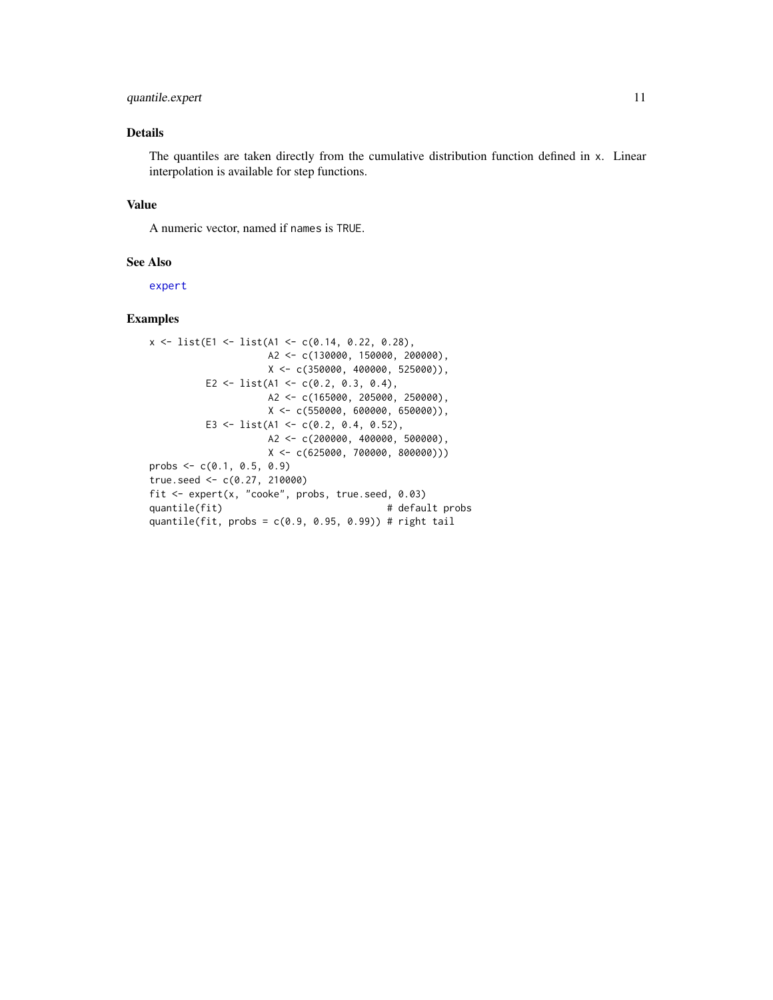# <span id="page-10-0"></span>quantile.expert 11

# Details

The quantiles are taken directly from the cumulative distribution function defined in x. Linear interpolation is available for step functions.

# Value

A numeric vector, named if names is TRUE.

#### See Also

[expert](#page-2-1)

# Examples

```
x \leftarrow list(E1 <- list(A1 <- c(0.14, 0.22, 0.28),
                    A2 <- c(130000, 150000, 200000),
                    X \leftarrow c(350000, 400000, 525000),
         E2 <- list(A1 <- c(0.2, 0.3, 0.4),
                    A2 <- c(165000, 205000, 250000),
                    X <- c(550000, 600000, 650000)),
         E3 <- list(A1 <- c(0.2, 0.4, 0.52),
                    A2 <- c(200000, 400000, 500000),
                    X <- c(625000, 700000, 800000)))
probs \leq -c(0.1, 0.5, 0.9)true.seed <- c(0.27, 210000)
fit <- expert(x, "cooke", probs, true.seed, 0.03)
quantile(fit) \qquad # default probs
quantile(fit, probs = c(0.9, 0.95, 0.99)) # right tail
```